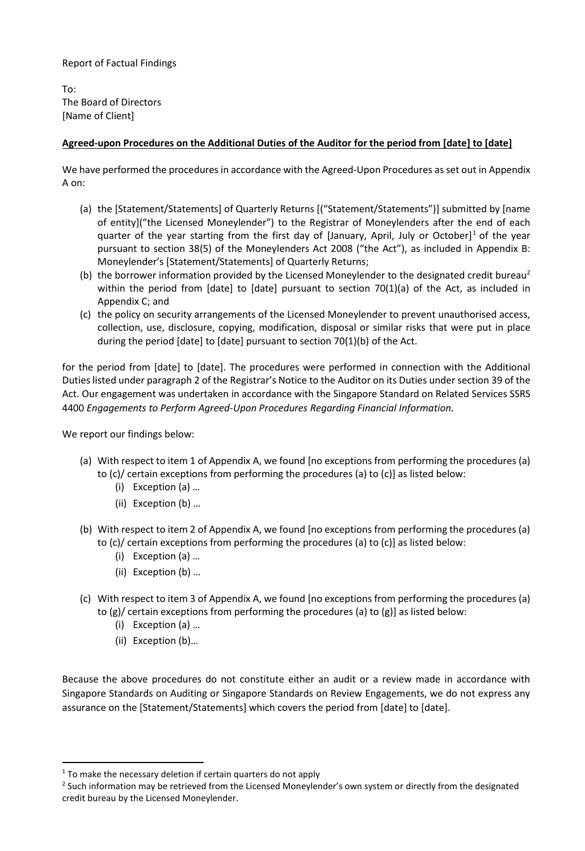Report of Factual Findings

To: The Board of Directors [Name of Client]

### **Agreed-upon Procedures on the Additional Duties of the Auditor for the period from [date] to [date]**

We have performed the procedures in accordance with the Agreed-Upon Procedures as set out in Appendix A on:

- (a) the [Statement/Statements] of Quarterly Returns [("Statement/Statements")] submitted by [name of entity]("the Licensed Moneylender") to the Registrar of Moneylenders after the end of each quarter of the year starting from the first day of [January, April, July or October] <sup>1</sup> of the year pursuant to section 38(5) of the Moneylenders Act 2008 ("the Act"), as included in Appendix B: Moneylender's [Statement/Statements] of Quarterly Returns;
- (b) the borrower information provided by the Licensed Moneylender to the designated credit bureau<sup>2</sup> within the period from [date] to [date] pursuant to section 70(1)(a) of the Act, as included in Appendix C; and
- (c) the policy on security arrangements of the Licensed Moneylender to prevent unauthorised access, collection, use, disclosure, copying, modification, disposal or similar risks that were put in place during the period [date] to [date] pursuant to section 70(1)(b) of the Act.

for the period from [date] to [date]. The procedures were performed in connection with the Additional Duties listed under paragraph 2 of the Registrar's Notice to the Auditor on its Duties under section 39 of the Act. Our engagement was undertaken in accordance with the Singapore Standard on Related Services SSRS 4400 *Engagements to Perform Agreed-Upon Procedures Regarding Financial Information.*

We report our findings below:

- (a) With respect to item 1 of Appendix A, we found [no exceptions from performing the procedures (a) to (c)/ certain exceptions from performing the procedures (a) to (c)] as listed below:
	- (i) Exception (a) …
	- (ii) Exception (b) …
- (b) With respect to item 2 of Appendix A, we found [no exceptions from performing the procedures (a) to (c)/ certain exceptions from performing the procedures (a) to (c)] as listed below:
	- (i) Exception (a) …
	- (ii) Exception (b) …
- (c) With respect to item 3 of Appendix A, we found [no exceptions from performing the procedures (a) to (g)/ certain exceptions from performing the procedures (a) to (g)] as listed below:
	- (i) Exception (a) …
	- (ii) Exception (b)…

Because the above procedures do not constitute either an audit or a review made in accordance with Singapore Standards on Auditing or Singapore Standards on Review Engagements, we do not express any assurance on the [Statement/Statements] which covers the period from [date] to [date].

 $1$  To make the necessary deletion if certain quarters do not apply

<sup>&</sup>lt;sup>2</sup> Such information may be retrieved from the Licensed Moneylender's own system or directly from the designated credit bureau by the Licensed Moneylender.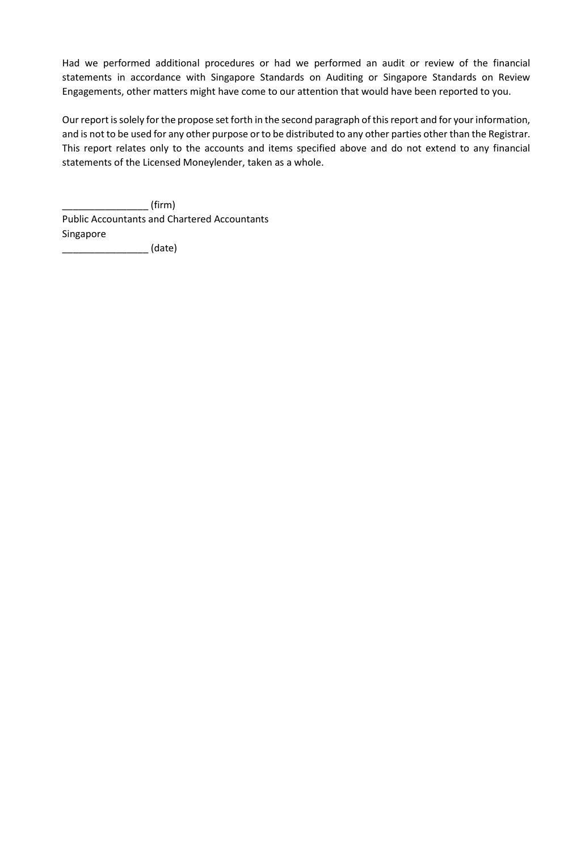Had we performed additional procedures or had we performed an audit or review of the financial statements in accordance with Singapore Standards on Auditing or Singapore Standards on Review Engagements, other matters might have come to our attention that would have been reported to you.

Our report is solely for the propose set forth in the second paragraph of this report and for your information, and is not to be used for any other purpose or to be distributed to any other parties other than the Registrar. This report relates only to the accounts and items specified above and do not extend to any financial statements of the Licensed Moneylender, taken as a whole.

 $\_$  (firm) Public Accountants and Chartered Accountants Singapore

\_\_\_\_\_\_\_\_\_\_\_\_\_\_\_\_ (date)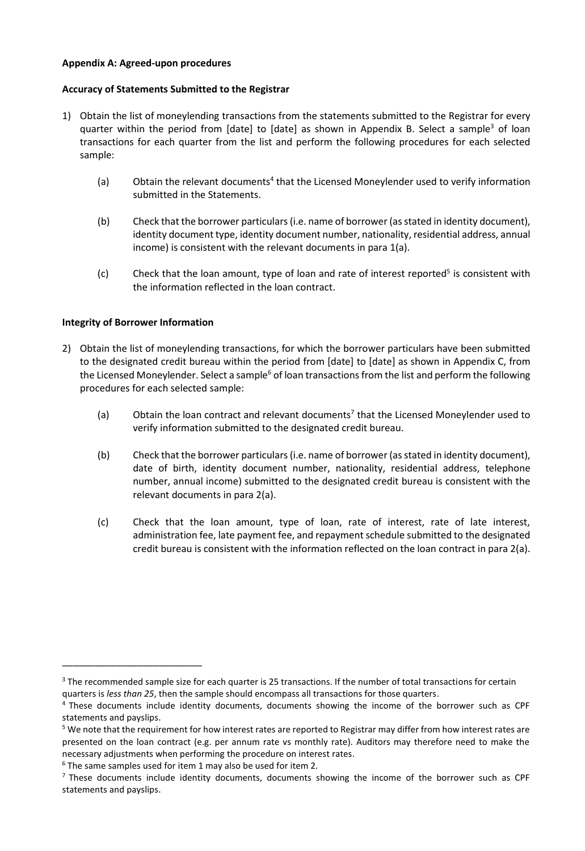#### **Appendix A: Agreed-upon procedures**

#### **Accuracy of Statements Submitted to the Registrar**

- 1) Obtain the list of moneylending transactions from the statements submitted to the Registrar for every quarter within the period from [date] to [date] as shown in Appendix B. Select a sample<sup>3</sup> of loan transactions for each quarter from the list and perform the following procedures for each selected sample:
	- (a) Obtain the relevant documents<sup>4</sup> that the Licensed Moneylender used to verify information submitted in the Statements.
	- (b) Check that the borrower particulars (i.e. name of borrower (as stated in identity document), identity document type, identity document number, nationality, residential address, annual income) is consistent with the relevant documents in para 1(a).
	- $(c)$  Check that the loan amount, type of loan and rate of interest reported<sup>5</sup> is consistent with the information reflected in the loan contract.

#### **Integrity of Borrower Information**

\_\_\_\_\_\_\_\_\_\_\_\_\_\_\_\_\_\_\_\_\_\_\_\_\_\_

- 2) Obtain the list of moneylending transactions, for which the borrower particulars have been submitted to the designated credit bureau within the period from [date] to [date] as shown in Appendix C, from the Licensed Moneylender. Select a sample<sup>6</sup> of loan transactions from the list and perform the following procedures for each selected sample:
	- (a) Obtain the loan contract and relevant documents<sup>7</sup> that the Licensed Moneylender used to verify information submitted to the designated credit bureau.
	- (b) Check that the borrower particulars (i.e. name of borrower (as stated in identity document), date of birth, identity document number, nationality, residential address, telephone number, annual income) submitted to the designated credit bureau is consistent with the relevant documents in para 2(a).
	- (c) Check that the loan amount, type of loan, rate of interest, rate of late interest, administration fee, late payment fee, and repayment schedule submitted to the designated credit bureau is consistent with the information reflected on the loan contract in para 2(a).

<sup>&</sup>lt;sup>3</sup> The recommended sample size for each quarter is 25 transactions. If the number of total transactions for certain quarters is *less than 25*, then the sample should encompass all transactions for those quarters.

<sup>4</sup> These documents include identity documents, documents showing the income of the borrower such as CPF statements and payslips.

<sup>&</sup>lt;sup>5</sup> We note that the requirement for how interest rates are reported to Registrar may differ from how interest rates are presented on the loan contract (e.g. per annum rate vs monthly rate). Auditors may therefore need to make the necessary adjustments when performing the procedure on interest rates.

 $6$  The same samples used for item 1 may also be used for item 2.

 $<sup>7</sup>$  These documents include identity documents, documents showing the income of the borrower such as CPF</sup> statements and payslips.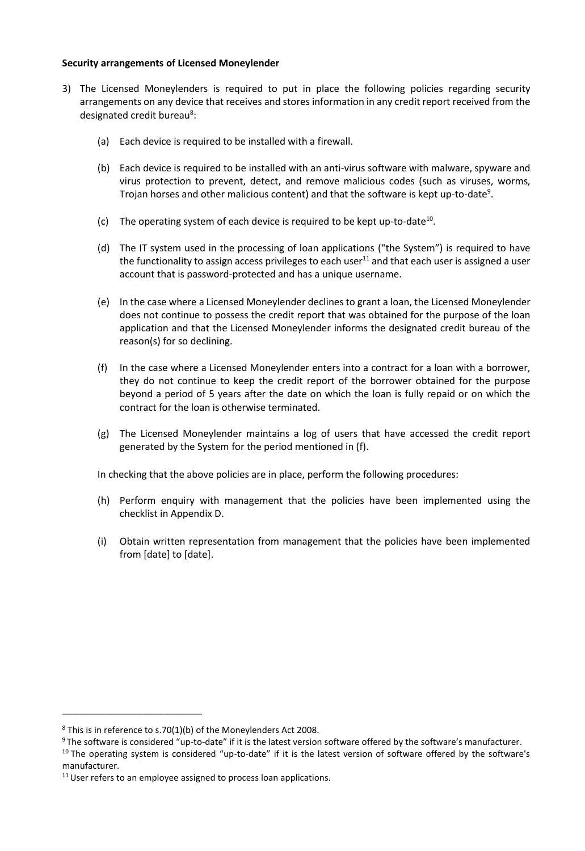#### **Security arrangements of Licensed Moneylender**

- 3) The Licensed Moneylenders is required to put in place the following policies regarding security arrangements on any device that receives and stores information in any credit report received from the designated credit bureau<sup>8</sup>:
	- (a) Each device is required to be installed with a firewall.
	- (b) Each device is required to be installed with an anti-virus software with malware, spyware and virus protection to prevent, detect, and remove malicious codes (such as viruses, worms, Trojan horses and other malicious content) and that the software is kept up-to-date<sup>9</sup>.
	- (c) The operating system of each device is required to be kept up-to-date<sup>10</sup>.
	- (d) The IT system used in the processing of loan applications ("the System") is required to have the functionality to assign access privileges to each user<sup>11</sup> and that each user is assigned a user account that is password-protected and has a unique username.
	- (e) In the case where a Licensed Moneylender declines to grant a loan, the Licensed Moneylender does not continue to possess the credit report that was obtained for the purpose of the loan application and that the Licensed Moneylender informs the designated credit bureau of the reason(s) for so declining.
	- (f) In the case where a Licensed Moneylender enters into a contract for a loan with a borrower, they do not continue to keep the credit report of the borrower obtained for the purpose beyond a period of 5 years after the date on which the loan is fully repaid or on which the contract for the loan is otherwise terminated.
	- (g) The Licensed Moneylender maintains a log of users that have accessed the credit report generated by the System for the period mentioned in (f).

In checking that the above policies are in place, perform the following procedures:

- (h) Perform enquiry with management that the policies have been implemented using the checklist in Appendix D.
- (i) Obtain written representation from management that the policies have been implemented from [date] to [date].

\_\_\_\_\_\_\_\_\_\_\_\_\_\_\_\_\_\_\_\_\_\_\_\_\_\_

 $8$  This is in reference to s.70(1)(b) of the Moneylenders Act 2008.

 $9$ The software is considered "up-to-date" if it is the latest version software offered by the software's manufacturer.

<sup>&</sup>lt;sup>10</sup> The operating system is considered "up-to-date" if it is the latest version of software offered by the software's manufacturer.

 $11$  User refers to an employee assigned to process loan applications.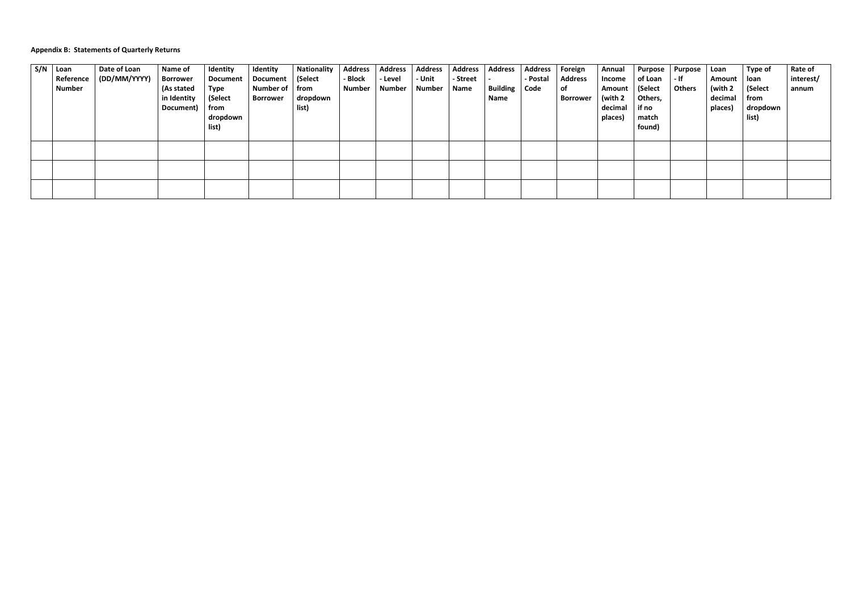## **Appendix B: Statements of Quarterly Returns**

| S/N | Loan<br>Reference | Date of Loan<br>(DD/MM/YYYY) | Name of<br>Borrower                    | Identity<br><b>Document</b>                  | Identity<br><b>Document</b>  | <b>Nationality</b><br>(Select | <b>Address</b><br>- Block | <b>Address</b><br>- Level | <b>Address</b><br>- Unit | <b>Address</b><br>- Street | <b>Address</b>                 | <b>Address</b><br>- Postal | Foreign<br><b>Address</b> | Annual<br>Income                        | <b>Purpose</b><br>of Loan                      | <b>Purpose</b><br>- If | Loan<br>Amount                | Type of<br>loan                      | <b>Rate of</b><br>interest/ |
|-----|-------------------|------------------------------|----------------------------------------|----------------------------------------------|------------------------------|-------------------------------|---------------------------|---------------------------|--------------------------|----------------------------|--------------------------------|----------------------------|---------------------------|-----------------------------------------|------------------------------------------------|------------------------|-------------------------------|--------------------------------------|-----------------------------|
|     | <b>Number</b>     |                              | (As stated<br>in Identity<br>Document) | Type<br>(Select<br>from<br>dropdown<br>list) | <b>Number of</b><br>Borrower | from<br>dropdown<br>list)     | <b>Number</b>             | <b>Number</b>             | Number                   | Name                       | <b>Building   Code</b><br>Name |                            | ∣ of<br><b>Borrower</b>   | Amount<br>(with 2<br>decimal<br>places) | (Select<br>Others,<br>if no<br>match<br>found) | <b>Others</b>          | (with 2<br>decimal<br>places) | (Select<br>from<br>dropdown<br>list) | annum                       |
|     |                   |                              |                                        |                                              |                              |                               |                           |                           |                          |                            |                                |                            |                           |                                         |                                                |                        |                               |                                      |                             |
|     |                   |                              |                                        |                                              |                              |                               |                           |                           |                          |                            |                                |                            |                           |                                         |                                                |                        |                               |                                      |                             |
|     |                   |                              |                                        |                                              |                              |                               |                           |                           |                          |                            |                                |                            |                           |                                         |                                                |                        |                               |                                      |                             |
|     |                   |                              |                                        |                                              |                              |                               |                           |                           |                          |                            |                                |                            |                           |                                         |                                                |                        |                               |                                      |                             |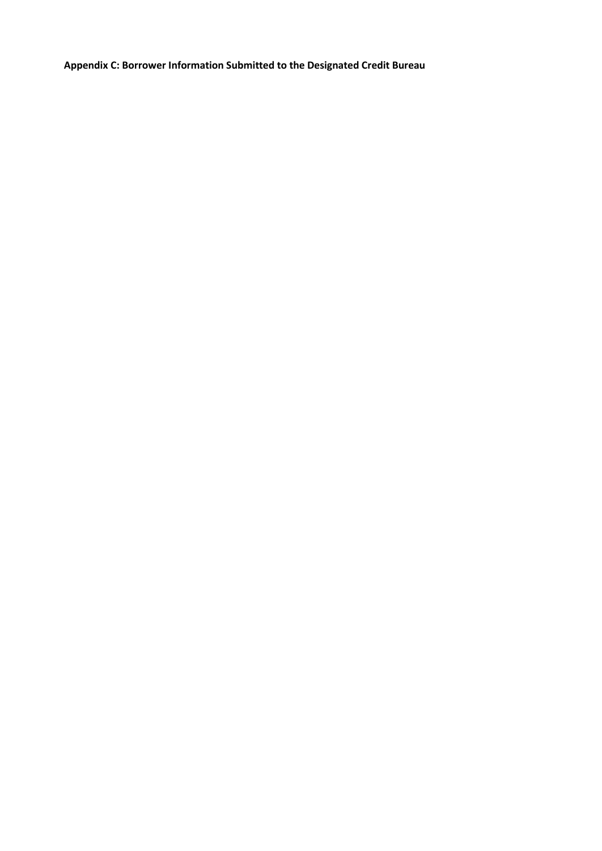**Appendix C: Borrower Information Submitted to the Designated Credit Bureau**